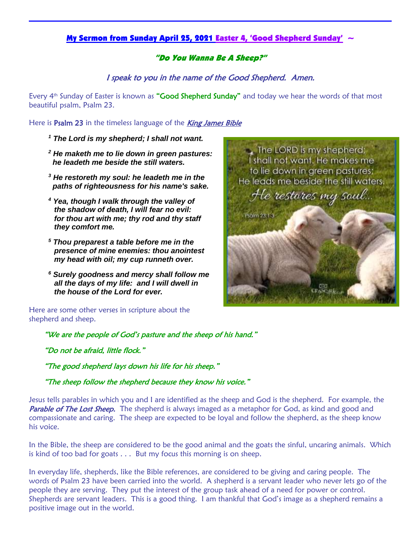## My Sermon from Sunday April 25, 2021 Easter 4, 'Good Shepherd Sunday'  $\sim$

## "Do You Wanna Be A Sheep?"

I speak to you in the name of the Good Shepherd. Amen.

Every 4<sup>th</sup> Sunday of Easter is known as "**Good Shepherd Sunday**" and today we hear the words of that most beautiful psalm, Psalm 23.

Here is Psalm 23 in the timeless language of the **King James Bible** 

- *<sup>1</sup> The Lord is my shepherd; I shall not want.*
- *<sup>2</sup> He maketh me to lie down in green pastures: he leadeth me beside the still waters.*
- *<sup>3</sup> He restoreth my soul: he leadeth me in the paths of righteousness for his name's sake.*
- *<sup>4</sup> Yea, though I walk through the valley of the shadow of death, I will fear no evil: for thou art with me; thy rod and thy staff they comfort me.*
- *<sup>5</sup> Thou preparest a table before me in the presence of mine enemies: thou anointest my head with oil; my cup runneth over.*
- *<sup>6</sup> Surely goodness and mercy shall follow me all the days of my life: and I will dwell in the house of the Lord for ever.*

Here are some other verses in scripture about the shepherd and sheep.

The LORD is my shepherd; I shall not want. He makes me to lie down in green pastures; He leads me beside the still waters. He restores my soul... Psalm 23:1.3

CRISCARLO

"We are the people of God's pasture and the sheep of his hand."

"Do not be afraid, little flock."

"The good shepherd lays down his life for his sheep."

"The sheep follow the shepherd because they know his voice."

Jesus tells parables in which you and I are identified as the sheep and God is the shepherd. For example, the Parable of The Lost Sheep. The shepherd is always imaged as a metaphor for God, as kind and good and compassionate and caring. The sheep are expected to be loyal and follow the shepherd, as the sheep know his voice.

In the Bible, the sheep are considered to be the good animal and the goats the sinful, uncaring animals. Which is kind of too bad for goats . . . But my focus this morning is on sheep.

In everyday life, shepherds, like the Bible references, are considered to be giving and caring people. The words of Psalm 23 have been carried into the world. A shepherd is a servant leader who never lets go of the people they are serving. They put the interest of the group task ahead of a need for power or control. Shepherds are servant leaders. This is a good thing. I am thankful that God's image as a shepherd remains a positive image out in the world.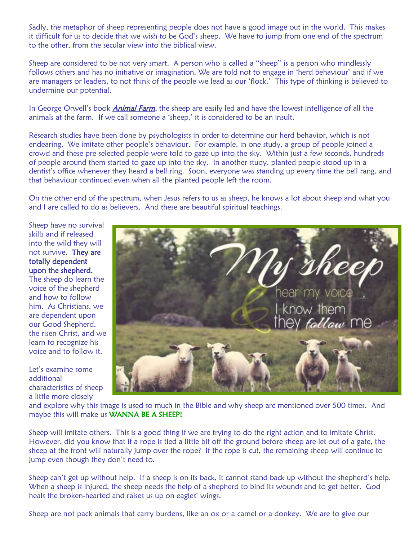Sadly, the metaphor of sheep representing people does not have a good image out in the world. This makes it difficult for us to decide that we wish to be God's sheep. We have to jump from one end of the spectrum to the other, from the secular view into the biblical view.

Sheep are considered to be not very smart. A person who is called a "sheep" is a person who mindlessly follows others and has no initiative or imagination. We are told not to engage in 'herd behaviour' and if we are managers or leaders, to not think of the people we lead as our 'flock.' This type of thinking is believed to undermine our potential.

In George Orwell's book *Animal Farm*, the sheep are easily led and have the lowest intelligence of all the animals at the farm. If we call someone a 'sheep,' it is considered to be an insult.

Research studies have been done by psychologists in order to determine our herd behavior, which is not endearing. We imitate other people's behaviour. For example, in one study, a group of people joined a crowd and these pre-selected people were told to gaze up into the sky. Within just a few seconds, hundreds of people around them started to gaze up into the sky. In another study, planted people stood up in a dentist's office whenever they heard a bell ring. Soon, everyone was standing up every time the bell rang, and that behaviour continued even when all the planted people left the room.

On the other end of the spectrum, when Jesus refers to us as sheep, he knows a lot about sheep and what you and I are called to do as believers. And these are beautiful spiritual teachings.

Sheep have no survival skills and if released into the wild they will not survive. They are totally dependent upon the shepherd.

The sheep do learn the voice of the shepherd and how to follow him. As Christians, we are dependent upon our Good Shepherd, the risen Christ, and we learn to recognize his voice and to follow it.

Let's examine some additional characteristics of sheep a little more closely



and explore why this image is used so much in the Bible and why sheep are mentioned over 500 times. And maybe this will make us WANNA BE A SHEEP!

Sheep will imitate others. This is a good thing if we are trying to do the right action and to imitate Christ. However, did you know that if a rope is tied a little bit off the ground before sheep are let out of a gate, the sheep at the front will naturally jump over the rope? If the rope is cut, the remaining sheep will continue to jump even though they don't need to.

Sheep can't get up without help. If a sheep is on its back, it cannot stand back up without the shepherd's help. When a sheep is injured, the sheep needs the help of a shepherd to bind its wounds and to get better. God heals the broken-hearted and raises us up on eagles' wings.

Sheep are not pack animals that carry burdens, like an ox or a camel or a donkey. We are to give our